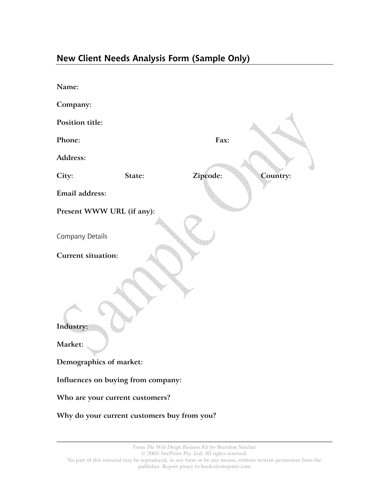## **New Client Needs Analysis Form (Sample Only)**

| Name:                                       |        |          |      |          |
|---------------------------------------------|--------|----------|------|----------|
| Company:                                    |        |          |      |          |
| Position title:                             |        |          |      |          |
| Phone:                                      |        |          | Fax: |          |
| Address:                                    |        |          |      |          |
| City:                                       | State: | Zipcode: |      | Country: |
| Email address:                              |        |          |      |          |
| Present WWW URL (if any):                   |        |          |      |          |
|                                             |        |          |      |          |
| Company Details                             |        |          |      |          |
| <b>Current situation:</b>                   |        |          |      |          |
| Industry:<br>Market:                        |        |          |      |          |
|                                             |        |          |      |          |
| Demographics of market:                     |        |          |      |          |
| Influences on buying from company:          |        |          |      |          |
| Who are your current customers?             |        |          |      |          |
| Why do your current customers buy from you? |        |          |      |          |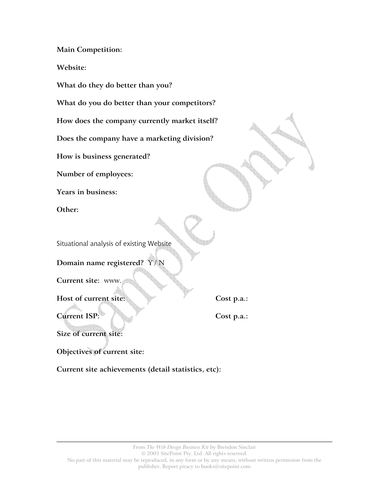**Main Competition:** 

**Website:** 

**What do they do better than you?** 

**What do you do better than your competitors?** 

**How does the company currently market itself?** 

**Does the company have a marketing division?** 

**How is business generated?** 

**Number of employees:** 

**Years in business:** 

**Other:** 

Situational analysis of existing Website

**Domain name registered?** Y / N

**Current site:** www.

Host of current site: Cost p.a.:

**Current ISP:**  $\begin{bmatrix} \downarrow \downarrow \downarrow \downarrow \end{bmatrix}$  Cost p.a.:

**Size of current site:** 

**Objectives of current site:** 

**Current site achievements (detail statistics, etc):**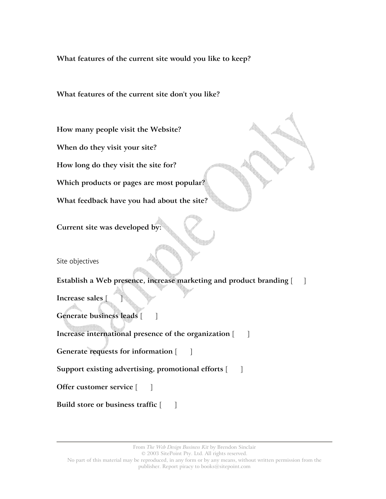**What features of the current site would you like to keep?** 

## **What features of the current site don't you like?**

**How many people visit the Website?**

**When do they visit your site?**

**How long do they visit the site for?**

**Which products or pages are most popular?**

**What feedback have you had about the site?**

**Current site was developed by:**

Site objectives

**Establish a Web presence, increase marketing and product branding** [ ]

**Increase sales** [ ]

Generate business leads [ ]

**Increase international presence of the organization** [ ]

**Generate requests for information** [ ]

Support existing advertising, promotional efforts [  $\Box$ ]

**Offer customer service**  $\begin{bmatrix} \quad \quad \end{bmatrix}$ 

**Build store or business traffic**  $\begin{bmatrix} \quad \quad \end{bmatrix}$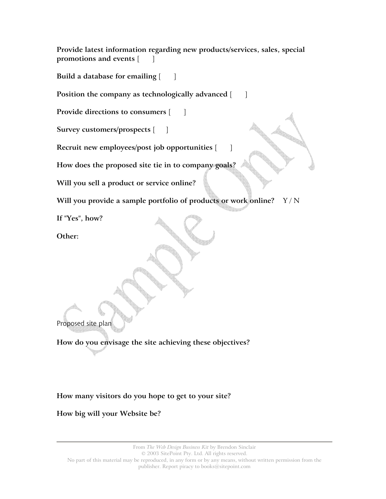**Provide latest information regarding new products/services, sales, special promotions and events** [ ]

**Build a database for emailing**  $\begin{bmatrix} 0 & 1 \end{bmatrix}$ 

**Position the company as technologically advanced** [ ]

**Provide directions to consumers** [ ]

**Survey customers/prospects** [ ]

**Recruit new employees/post job opportunities** [ ]

**How does the proposed site tie in to company goals?**

**Will you sell a product or service online?**

**Will you provide a sample portfolio of products or work online?** Y / N

**If "Yes", how?**

**Other:**

Proposed site plan

**How do you envisage the site achieving these objectives?** 

**How many visitors do you hope to get to your site?** 

**How big will your Website be?** 

From *The Web Design Business Kit* by Brendon Sinclair © 2003 SitePoint Pty. Ltd. All rights reserved. No part of this material may be reproduced, in any form or by any means, without written permission from the publisher. Report piracy to books@sitepoint.com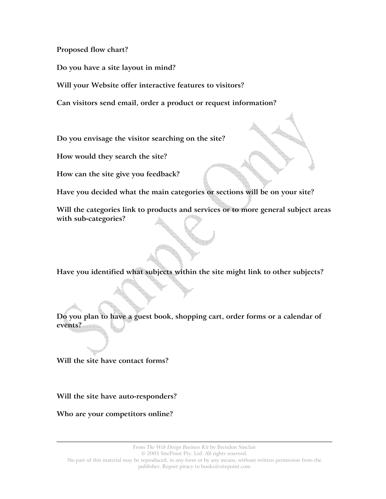**Proposed flow chart?** 

**Do you have a site layout in mind?** 

**Will your Website offer interactive features to visitors?** 

**Can visitors send email, order a product or request information?** 

**Do you envisage the visitor searching on the site?** 

**How would they search the site?** 

**How can the site give you feedback?** 

**Have you decided what the main categories or sections will be on your site?** 

**Will the categories link to products and services or to more general subject areas with sub-categories?** 

**Have you identified what subjects within the site might link to other subjects?** 

**Do you plan to have a guest book, shopping cart, order forms or a calendar of events?** 

**Will the site have contact forms?** 

**Will the site have auto-responders?** 

**Who are your competitors online?**